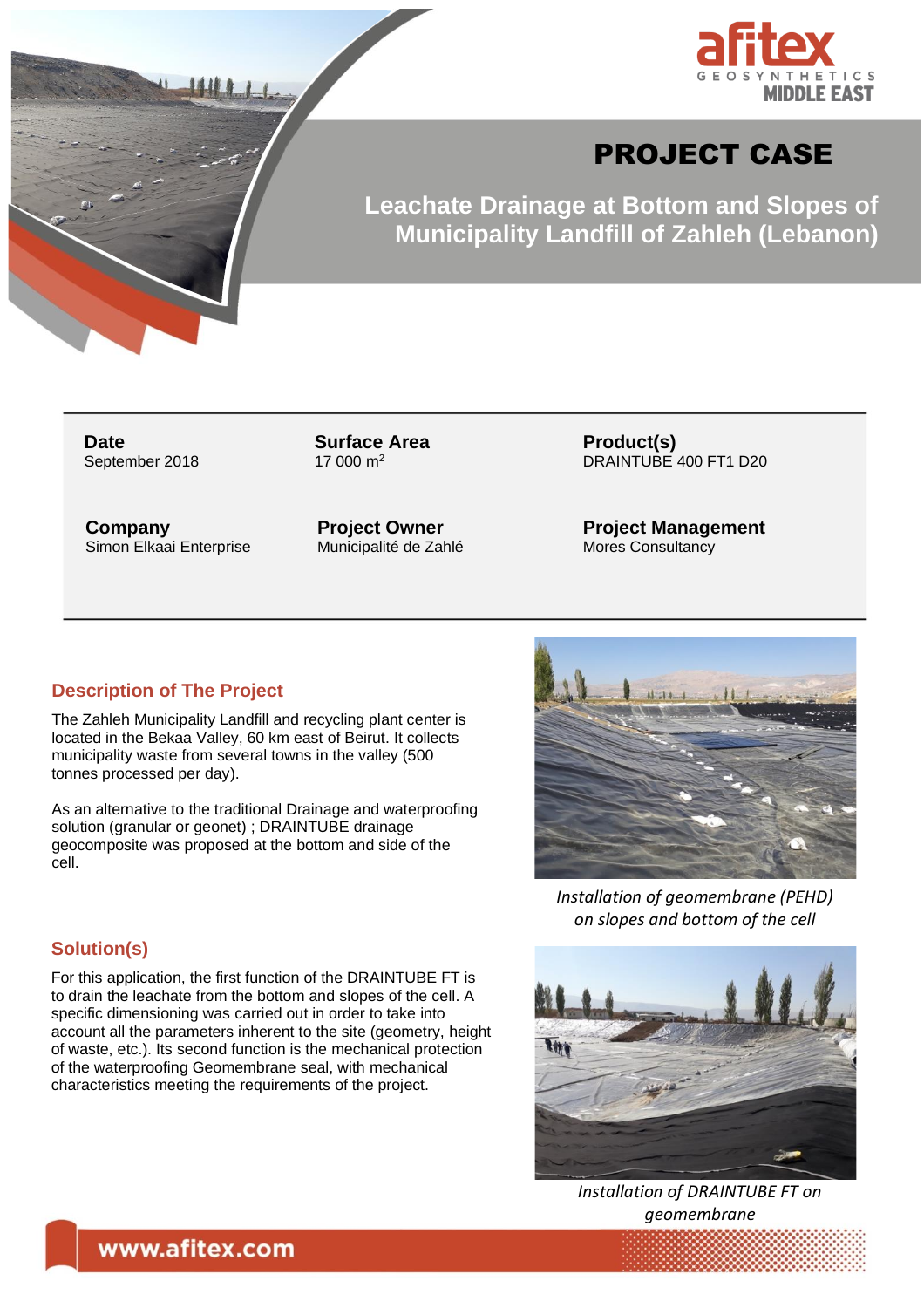



# PROJECT CASE

**Leachate Drainage at Bottom and Slopes of Municipality Landfill of Zahleh (Lebanon)**

**Date** September 2018 **Surface Area**  $17,000 \text{ m}^2$ 

**Company** Simon Elkaai Enterprise **Project Owner** Municipalité de Zahlé **Product(s)** DRAINTUBE 400 FT1 D20

**Project Management** Mores Consultancy

#### **Description of The Project**

The Zahleh Municipality Landfill and recycling plant center is located in the Bekaa Valley, 60 km east of Beirut. It collects municipality waste from several towns in the valley (500 tonnes processed per day).

As an alternative to the traditional Drainage and waterproofing solution (granular or geonet) ; DRAINTUBE drainage geocomposite was proposed at the bottom and side of the cell.

### **Solution(s)**

For this application, the first function of the DRAINTUBE FT is to drain the leachate from the bottom and slopes of the cell. A specific dimensioning was carried out in order to take into account all the parameters inherent to the site (geometry, height of waste, etc.). Its second function is the mechanical protection of the waterproofing Geomembrane seal, with mechanical characteristics meeting the requirements of the project.



*Installation of geomembrane (PEHD) on slopes and bottom of the cell*



*Installation of DRAINTUBE FT on geomembrane*

## www.afitex.com